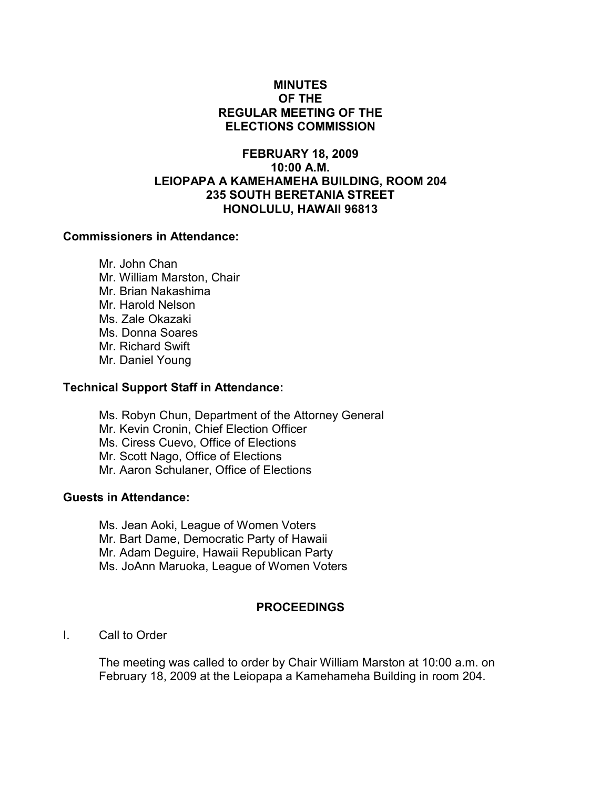# MINUTES OF THE REGULAR MEETING OF THE ELECTIONS COMMISSION

# FEBRUARY 18, 2009 10:00 A.M. LEIOPAPA A KAMEHAMEHA BUILDING, ROOM 204 235 SOUTH BERETANIA STREET HONOLULU, HAWAII 96813

# Commissioners in Attendance:

 Mr. John Chan Mr. William Marston, Chair Mr. Brian Nakashima Mr. Harold Nelson Ms. Zale Okazaki Ms. Donna Soares Mr. Richard Swift Mr. Daniel Young

#### Technical Support Staff in Attendance:

Ms. Robyn Chun, Department of the Attorney General Mr. Kevin Cronin, Chief Election Officer Ms. Ciress Cuevo, Office of Elections Mr. Scott Nago, Office of Elections Mr. Aaron Schulaner, Office of Elections

# Guests in Attendance:

Ms. Jean Aoki, League of Women Voters Mr. Bart Dame, Democratic Party of Hawaii Mr. Adam Deguire, Hawaii Republican Party Ms. JoAnn Maruoka, League of Women Voters

# PROCEEDINGS

I. Call to Order

The meeting was called to order by Chair William Marston at 10:00 a.m. on February 18, 2009 at the Leiopapa a Kamehameha Building in room 204.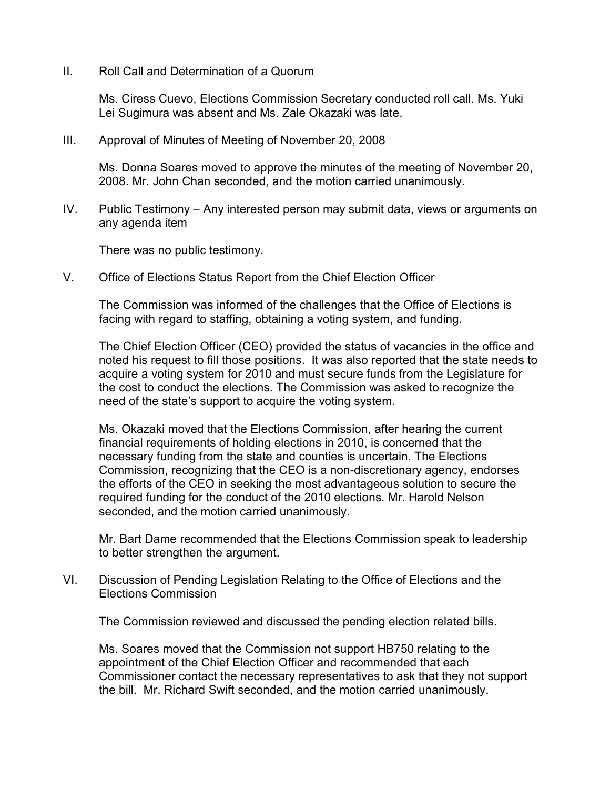II. Roll Call and Determination of a Quorum

Ms. Ciress Cuevo, Elections Commission Secretary conducted roll call. Ms. Yuki Lei Sugimura was absent and Ms. Zale Okazaki was late.

III. Approval of Minutes of Meeting of November 20, 2008

Ms. Donna Soares moved to approve the minutes of the meeting of November 20, 2008. Mr. John Chan seconded, and the motion carried unanimously.

IV. Public Testimony – Any interested person may submit data, views or arguments on any agenda item

There was no public testimony.

V. Office of Elections Status Report from the Chief Election Officer

The Commission was informed of the challenges that the Office of Elections is facing with regard to staffing, obtaining a voting system, and funding.

The Chief Election Officer (CEO) provided the status of vacancies in the office and noted his request to fill those positions. It was also reported that the state needs to acquire a voting system for 2010 and must secure funds from the Legislature for the cost to conduct the elections. The Commission was asked to recognize the need of the state's support to acquire the voting system.

Ms. Okazaki moved that the Elections Commission, after hearing the current financial requirements of holding elections in 2010, is concerned that the necessary funding from the state and counties is uncertain. The Elections Commission, recognizing that the CEO is a non-discretionary agency, endorses the efforts of the CEO in seeking the most advantageous solution to secure the required funding for the conduct of the 2010 elections. Mr. Harold Nelson seconded, and the motion carried unanimously.

Mr. Bart Dame recommended that the Elections Commission speak to leadership to better strengthen the argument.

VI. Discussion of Pending Legislation Relating to the Office of Elections and the Elections Commission

The Commission reviewed and discussed the pending election related bills.

Ms. Soares moved that the Commission not support HB750 relating to the appointment of the Chief Election Officer and recommended that each Commissioner contact the necessary representatives to ask that they not support the bill. Mr. Richard Swift seconded, and the motion carried unanimously.